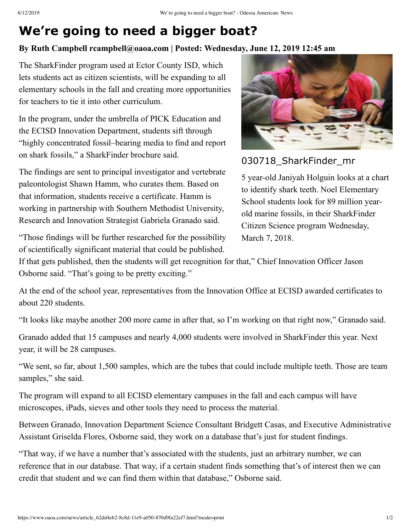## **We're going to need a bigger boat?**

## **By Ruth Campbell rcampbell@oaoa.com | Posted: Wednesday, June 12, 2019 12:45 am**

The SharkFinder program used at Ector County ISD, which lets students act as citizen scientists, will be expanding to all elementary schools in the fall and creating more opportunities for teachers to tie it into other curriculum.

In the program, under the umbrella of PICK Education and the ECISD Innovation Department, students sift through "highly concentrated fossil–bearing media to find and report on shark fossils," a SharkFinder brochure said.

The findings are sent to principal investigator and vertebrate paleontologist Shawn Hamm, who curates them. Based on that information, students receive a certificate. Hamm is working in partnership with Southern Methodist University, Research and Innovation Strategist Gabriela Granado said.

"Those findings will be further researched for the possibility of scientifically significant material that could be published.



030718\_SharkFinder\_mr

5 year-old Janiyah Holguin looks at a chart to identify shark teeth. Noel Elementary School students look for 89 million yearold marine fossils, in their SharkFinder Citizen Science program Wednesday, March 7, 2018.

If that gets published, then the students will get recognition for that," Chief Innovation Officer Jason Osborne said. "That's going to be pretty exciting."

At the end of the school year, representatives from the Innovation Office at ECISD awarded certificates to about 220 students.

"It looks like maybe another 200 more came in after that, so I'm working on that right now," Granado said.

Granado added that 15 campuses and nearly 4,000 students were involved in SharkFinder this year. Next year, it will be 28 campuses.

"We sent, so far, about 1,500 samples, which are the tubes that could include multiple teeth. Those are team samples," she said.

The program will expand to all ECISD elementary campuses in the fall and each campus will have microscopes, iPads, sieves and other tools they need to process the material.

Between Granado, Innovation Department Science Consultant Bridgett Casas, and Executive Administrative Assistant Griselda Flores, Osborne said, they work on a database that's just for student findings.

"That way, if we have a number that's associated with the students, just an arbitrary number, we can reference that in our database. That way, if a certain student finds something that's of interest then we can credit that student and we can find them within that database," Osborne said.